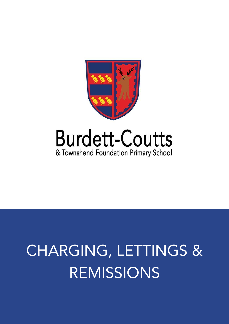

# **Burdett-Coutts** & Townshend Foundation Primary School

# CHARGING, LETTINGS & REMISSIONS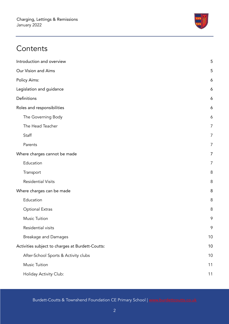

# **Contents**

| Introduction and overview                        | 5  |
|--------------------------------------------------|----|
| Our Vision and Aims                              | 5  |
| Policy Aims:                                     | 6  |
| Legislation and guidance                         | 6  |
| Definitions                                      | 6  |
| Roles and responsibilities                       | 6  |
| The Governing Body                               | 6  |
| The Head Teacher                                 | 7  |
| Staff                                            | 7  |
| Parents                                          | 7  |
| Where charges cannot be made                     | 7  |
| Education                                        | 7  |
| Transport                                        | 8  |
| <b>Residential Visits</b>                        | 8  |
| Where charges can be made                        | 8  |
| Education                                        | 8  |
| <b>Optional Extras</b>                           | 8  |
| <b>Music Tuition</b>                             | 9  |
| Residential visits                               | 9  |
| <b>Breakage and Damages</b>                      | 10 |
| Activities subject to charges at Burdett-Coutts: | 10 |
| After-School Sports & Activity clubs             | 10 |
| <b>Music Tuition</b>                             | 11 |
| Holiday Activity Club:                           | 11 |

Burdett-Coutts & Townshend Foundation CE Primary School | [www.burdettcoutts.co.uk](http://burdettcoutts.co.uk)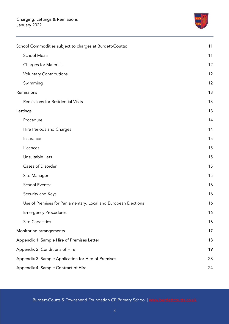

| School Commodities subject to charges at Burdett-Coutts:        | 11 |
|-----------------------------------------------------------------|----|
| <b>School Meals</b>                                             | 11 |
| Charges for Materials                                           | 12 |
| <b>Voluntary Contributions</b>                                  | 12 |
| Swimming                                                        | 12 |
| Remissions                                                      | 13 |
| Remissions for Residential Visits                               | 13 |
| Lettings                                                        | 13 |
| Procedure                                                       | 14 |
| Hire Periods and Charges                                        | 14 |
| Insurance                                                       | 15 |
| Licences                                                        | 15 |
| Unsuitable Lets                                                 | 15 |
| Cases of Disorder                                               | 15 |
| Site Manager                                                    | 15 |
| School Events:                                                  | 16 |
| Security and Keys                                               | 16 |
| Use of Premises for Parliamentary, Local and European Elections | 16 |
| <b>Emergency Procedures</b>                                     | 16 |
| <b>Site Capacities</b>                                          | 16 |
| Monitoring arrangements                                         | 17 |
| Appendix 1: Sample Hire of Premises Letter                      | 18 |
| Appendix 2: Conditions of Hire                                  | 19 |
| Appendix 3: Sample Application for Hire of Premises             | 23 |
| Appendix 4: Sample Contract of Hire                             | 24 |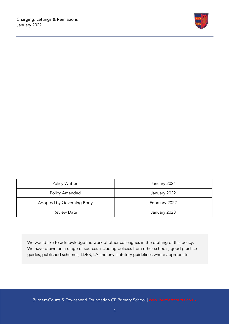

| Policy Written            | January 2021  |
|---------------------------|---------------|
| Policy Amended            | January 2022  |
| Adopted by Governing Body | February 2022 |
| <b>Review Date</b>        | January 2023  |

We would like to acknowledge the work of other colleagues in the drafting of this policy. We have drawn on a range of sources including policies from other schools, good practice guides, published schemes, LDBS, LA and any statutory guidelines where appropriate.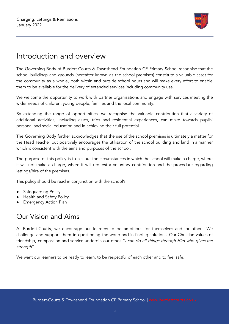

# <span id="page-4-0"></span>Introduction and overview

The Governing Body of Burdett-Coutts & Townshend Foundation CE Primary School recognise that the school buildings and grounds (hereafter known as the school premises) constitute a valuable asset for the community as a whole, both within and outside school hours and will make every effort to enable them to be available for the delivery of extended services including community use.

We welcome the opportunity to work with partner organisations and engage with services meeting the wider needs of children, young people, families and the local community.

By extending the range of opportunities, we recognise the valuable contribution that a variety of additional activities, including clubs, trips and residential experiences, can make towards pupils' personal and social education and in achieving their full potential.

The Governing Body further acknowledges that the use of the school premises is ultimately a matter for the Head Teacher but positively encourages the utilisation of the school building and land in a manner which is consistent with the aims and purposes of the school.

The purpose of this policy is to set out the circumstances in which the school will make a charge, where it will not make a charge, where it will request a voluntary contribution and the procedure regarding lettings/hire of the premises.

This policy should be read in conjunction with the school's:

- Safeguarding Policy
- **Health and Safety Policy**
- <span id="page-4-1"></span>**Emergency Action Plan**

# Our Vision and Aims

At Burdett-Coutts, we encourage our learners to be ambitious for themselves and for others. We challenge and support them in questioning the world and in finding solutions. Our Christian values of friendship, compassion and service underpin our ethos "*I can do all things through Him who gives me* strength".

We want our learners to be ready to learn, to be respectful of each other and to feel safe.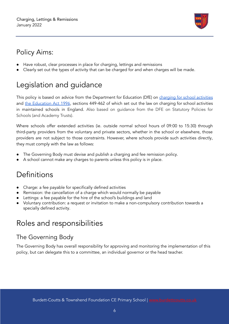

# <span id="page-5-0"></span>Policy Aims:

- Have robust, clear processes in place for charging, lettings and remissions
- <span id="page-5-1"></span>Clearly set out the types of activity that can be charged for and when charges will be made.

# Legislation and guidance

This policy is based on advice from the Department for Education (DfE) on [charging](https://www.gov.uk/government/publications/charging-for-school-activities) for school activities and the [Education](http://www.legislation.gov.uk/ukpga/1996/56/part/VI/chapter/III) Act 1996, sections 449-462 of which set out the law on charging for school activities in maintained schools in England. Also based on guidance from the DFE on Statutory Policies for Schools (and Academy Trusts).

Where schools offer extended activities (ie. outside normal school hours of 09:00 to 15:30) through third-party providers from the voluntary and private sectors, whether in the school or elsewhere, those providers are not subject to those constraints. However, where schools provide such activities directly, they must comply with the law as follows:

- The Governing Body must devise and publish a charging and fee remission policy.
- <span id="page-5-2"></span>A school cannot make any charges to parents unless this policy is in place.

# **Definitions**

- Charge: a fee payable for specifically defined activities
- Remission: the cancellation of a charge which would normally be payable
- Lettings: a fee payable for the hire of the school's buildings and land
- Voluntary contribution: a request or invitation to make a non-compulsory contribution towards a specially defined activity.

# <span id="page-5-3"></span>Roles and responsibilities

## <span id="page-5-4"></span>The Governing Body

The Governing Body has overall responsibility for approving and monitoring the implementation of this policy, but can delegate this to a committee, an individual governor or the head teacher.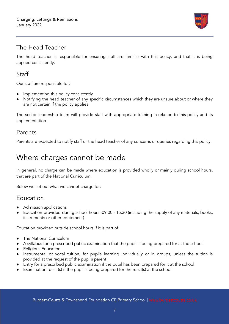

## <span id="page-6-0"></span>The Head Teacher

The head teacher is responsible for ensuring staff are familiar with this policy, and that it is being applied consistently.

## <span id="page-6-1"></span>**Staff**

Our staff are responsible for:

- Implementing this policy consistently
- Notifying the head teacher of any specific circumstances which they are unsure about or where they are not certain if the policy applies

The senior leadership team will provide staff with appropriate training in relation to this policy and its implementation.

#### <span id="page-6-2"></span>Parents

Parents are expected to notify staff or the head teacher of any concerns or queries regarding this policy.

# <span id="page-6-3"></span>Where charges cannot be made

In general, no charge can be made where education is provided wholly or mainly during school hours, that are part of the National Curriculum.

Below we set out what we cannot charge for:

## <span id="page-6-4"></span>Education

- Admission applications
- Education provided during school hours -09:00 15:30 (including the supply of any materials, books, instruments or other equipment)

Education provided outside school hours if it is part of:

- The National Curriculum
- A syllabus for a prescribed public examination that the pupil is being prepared for at the school
- Religious Education
- Instrumental or vocal tuition, for pupils learning individually or in groups, unless the tuition is provided at the request of the pupil's parent
- Entry for a prescribed public examination if the pupil has been prepared for it at the school
- Examination re-sit (s) if the pupil is being prepared for the re-sit(s) at the school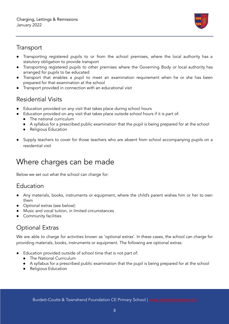

#### <span id="page-7-0"></span>**Transport**

- Transporting registered pupils to or from the school premises, where the local authority has a statutory obligation to provide transport
- Transporting registered pupils to other premises where the Governing Body or local authority has arranged for pupils to be educated
- Transport that enables a pupil to meet an examination requirement when he or she has been prepared for that examination at the school
- Transport provided in connection with an educational visit

# <span id="page-7-1"></span>Residential Visits

- Education provided on any visit that takes place during school hours
- Education provided on any visit that takes place outside school hours if it is part of:
	- The national curriculum
	- A syllabus for a prescribed public examination that the pupil is being prepared for at the school
	- Religious Education
- Supply teachers to cover for those teachers who are absent from school accompanying pupils on a residential visit

# <span id="page-7-2"></span>Where charges can be made

Below we set out what the school can charge for:

## <span id="page-7-3"></span>Education

- Any materials, books, instruments or equipment, where the child's parent wishes him or her to own them
- Optional extras (see below):
- Music and vocal tuition, in limited circumstances
- Community facilities

# <span id="page-7-4"></span>Optional Extras

We are able to charge for activities known as 'optional extras'. In these cases, the school can charge for providing materials, books, instruments or equipment. The following are optional extras:

- Education provided outside of school time that is not part of:
	- The National Curriculum
	- A syllabus for a prescribed public examination that the pupil is being prepared for at the school
	- Religious Education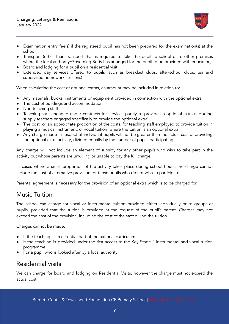

- Transport (other than transport that is required to take the pupil to school or to other premises where the local authority/Governing Body has arranged for the pupil to be provided with education)
- Board and lodging for a pupil on a residential visit
- Extended day services offered to pupils (such as breakfast clubs, after-school clubs, tea and supervised homework sessions)

When calculating the cost of optional extras, an amount may be included in relation to:

- Any materials, books, instruments or equipment provided in connection with the optional extra
- The cost of buildings and accommodation
- Non-teaching staff
- Teaching staff engaged under contracts for services purely to provide an optional extra (including supply teachers engaged specifically to provide the optional extra)
- The cost, or an appropriate proportion of the costs, for teaching staff employed to provide tuition in playing a musical instrument, or vocal tuition, where the tuition is an optional extra
- Any charge made in respect of individual pupils will not be greater than the actual cost of providing the optional extra activity, divided equally by the number of pupils participating.

Any charge will not include an element of subsidy for any other pupils who wish to take part in the activity but whose parents are unwilling or unable to pay the full charge.

In cases where a small proportion of the activity takes place during school hours, the charge cannot include the cost of alternative provision for those pupils who do not wish to participate.

Parental agreement is necessary for the provision of an optional extra which is to be charged for.

#### <span id="page-8-0"></span>Music Tuition

The school can charge for vocal or instrumental tuition provided either individually or to groups of pupils, provided that the tuition is provided at the request of the pupil's parent. Charges may not exceed the cost of the provision, including the cost of the staff giving the tuition.

Charges cannot be made:

- If the teaching is an essential part of the national curriculum
- If the teaching is provided under the first access to the Key Stage 2 instrumental and vocal tuition programme
- For a pupil who is looked after by a local authority

#### <span id="page-8-1"></span>Residential visits

We can charge for board and lodging on Residential Visits, however the charge must not exceed the actual cost.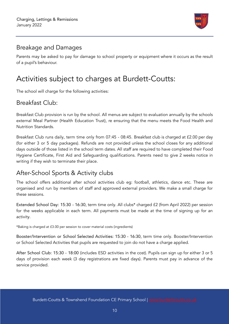

### <span id="page-9-0"></span>Breakage and Damages

Parents may be asked to pay for damage to school property or equipment where it occurs as the result of a pupil's behaviour.

# <span id="page-9-1"></span>Activities subject to charges at Burdett-Coutts:

The school will charge for the following activities:

## Breakfast Club:

Breakfast Club provision is run by the school. All menus are subject to evaluation annually by the schools external Meal Partner (Health Education Trust), re ensuring that the menu meets the Food Health and Nutrition Standards.

Breakfast Club runs daily, term time only from 07:45 - 08:45. Breakfast club is charged at £2.00 per day (for either 3 or 5 day packages). Refunds are not provided unless the school closes for any additional days outside of those listed in the school term dates. All staff are required to have completed their Food Hygiene Certificate, First Aid and Safeguarding qualifications. Parents need to give 2 weeks notice in writing if they wish to terminate their place.

## <span id="page-9-2"></span>After-School Sports & Activity clubs

The school offers additional after school activities club eg: football, athletics, dance etc. These are organised and run by members of staff and approved external providers. We make a small charge for these sessions.

Extended School Day: 15:30 - 16:30, term time only. All clubs\* charged £2 (from April 2022) per session for the weeks applicable in each term. All payments must be made at the time of signing up for an activity.

\*Baking is charged at £3.00 per session to cover material costs (ingredients)

Booster/Intervention or School Selected Activities: 15:30 - 16:30, term time only. Booster/Intervention or School Selected Activities that pupils are requested to join do not have a charge applied.

After School Club: 15:30 - 18:00 (includes ESD activities in the cost). Pupils can sign up for either 3 or 5 days of provision each week (3 day registrations are fixed days). Parents must pay in advance of the service provided.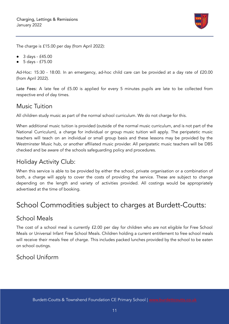

The charge is £15.00 per day (from April 2022):

- 3 days £45.00
- 5 days £75.00

Ad-Hoc: 15:30 - 18:00. In an emergency, ad-hoc child care can be provided at a day rate of £20.00 (from April 2022).

Late Fees: A late fee of £5.00 is applied for every 5 minutes pupils are late to be collected from respective end of day times.

## <span id="page-10-0"></span>Music Tuition

All children study music as part of the normal school curriculum. We do not charge for this.

When additional music tuition is provided (outside of the normal music curriculum, and is not part of the National Curriculum), a charge for individual or group music tuition will apply. The peripatetic music teachers will teach on an individual or small group basis and these lessons may be provided by the Westminster Music hub, or another affiliated music provider. All peripatetic music teachers will be DBS checked and be aware of the schools safeguarding policy and procedures.

## <span id="page-10-1"></span>Holiday Activity Club:

When this service is able to be provided by either the school, private organisation or a combination of both, a charge will apply to cover the costs of providing the service. These are subject to change depending on the length and variety of activities provided. All costings would be appropriately advertised at the time of booking.

# <span id="page-10-2"></span>School Commodities subject to charges at Burdett-Coutts:

## <span id="page-10-3"></span>School Meals

The cost of a school meal is currently £2.00 per day for children who are not eligible for Free School Meals or Universal Infant Free School Meals. Children holding a current entitlement to free school meals will receive their meals free of charge. This includes packed lunches provided by the school to be eaten on school outings.

# School Uniform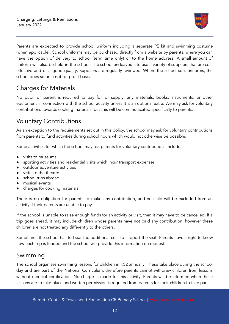

Parents are expected to provide school uniform including a separate PE kit and swimming costume (when applicable). School uniforms may be purchased directly from a website by parents, where you can have the option of delivery to school (term time only) or to the home address. A small amount of uniform will also be held in the school. The school endeavours to use a variety of suppliers that are cost effective and of a good quality. Suppliers are regularly reviewed. Where the school sells uniforms, the school does so on a not-for-profit basis.

## <span id="page-11-0"></span>Charges for Materials

No pupil or parent is required to pay for, or supply, any materials, books, instruments, or other equipment in connection with the school activity unless it is an optional extra. We may ask for voluntary contributions towards cooking materials, but this will be communicated specifically to parents.

# <span id="page-11-1"></span>Voluntary Contributions

As an exception to the requirements set out in this policy, the school may ask for voluntary contributions from parents to fund activities during school hours which would not otherwise be possible.

Some activities for which the school may ask parents for voluntary contributions include:

- visits to museums
- sporting activities and residential visits which incur transport expenses
- outdoor adventure activities
- visits to the theatre
- school trips abroad
- musical events
- charges for cooking materials

There is no obligation for parents to make any contribution, and no child will be excluded from an activity if their parents are unable to pay.

If the school is unable to raise enough funds for an activity or visit, then it may have to be cancelled. If a trip goes ahead, it may include children whose parents have not paid any contribution, however these children are not treated any differently to the others.

Sometimes the school has to bear the additional cost to support the visit. Parents have a right to know how each trip is funded and the school will provide this information on request.

#### <span id="page-11-2"></span>Swimming

The school organises swimming lessons for children in KS2 annually. These take place during the school day and are part of the National Curriculum, therefore parents cannot withdraw children from lessons without medical certification. No charge is made for this activity. Parents will be informed when these lessons are to take place and written permission is required from parents for their children to take part.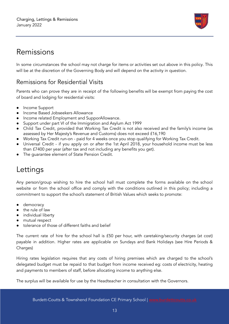

# <span id="page-12-0"></span>Remissions

In some circumstances the school may not charge for items or activities set out above in this policy. This will be at the discretion of the Governing Body and will depend on the activity in question.

## <span id="page-12-1"></span>Remissions for Residential Visits

Parents who can prove they are in receipt of the following benefits will be exempt from paying the cost of board and lodging for residential visits:

- Income Support
- Income Based Jobseekers Allowance
- Income related Employment and SupporAllowance.
- Support under part VI of the Immigration and Asylum Act 1999
- Child Tax Credit, provided that Working Tax Credit is not also received and the family's income (as assessed by Her Majesty's Revenue and Customs) does not exceed £16,190
- Working Tax Credit run-on paid for 4 weeks once you stop qualifying for Working Tax Credit.
- Universal Credit if you apply on or after the 1st April 2018, your household income must be less than £7400 per year (after tax and not including any benefits you get).
- <span id="page-12-2"></span>The guarantee element of State Pension Credit.

# Lettings

Any person/group wishing to hire the school hall must complete the forms available on the school website or from the school office and comply with the conditions outlined in this policy; including a commitment to support the school's statement of British Values which seeks to promote:

- democracy
- the rule of law
- individual liberty
- mutual respect
- tolerance of those of different faiths and belief

The current rate of hire for the school hall is £50 per hour, with caretaking/security charges (at cost) payable in addition. Higher rates are applicable on Sundays and Bank Holidays (see Hire Periods & Charges)

Hiring rates legislation requires that any costs of hiring premises which are charged to the school's delegated budget must be repaid to that budget from income received eg: costs of electricity, heating and payments to members of staff, before allocating income to anything else.

The surplus will be available for use by the Headteacher in consultation with the Governors.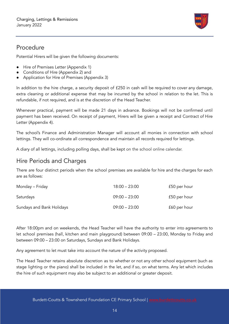

### <span id="page-13-0"></span>Procedure

Potential Hirers will be given the following documents:

- Hire of Premises Letter (Appendix 1)
- Conditions of Hire (Appendix 2) and
- Application for Hire of Premises (Appendix 3)

In addition to the hire charge, a security deposit of £250 in cash will be required to cover any damage, extra cleaning or additional expense that may be incurred by the school in relation to the let. This is refundable, if not required, and is at the discretion of the Head Teacher.

Whenever practical, payment will be made 21 days in advance. Bookings will not be confirmed until payment has been received. On receipt of payment, Hirers will be given a receipt and Contract of Hire Letter (Appendix 4).

The school's Finance and Administration Manager will account all monies in connection with school lettings. They will co-ordinate all correspondence and maintain all records required for lettings.

A diary of all lettings, including polling days, shall be kept on the school online calendar.

## <span id="page-13-1"></span>Hire Periods and Charges

There are four distinct periods when the school premises are available for hire and the charges for each are as follows:

| Monday – Friday           | $18:00 - 23:00$ | £50 per hour |
|---------------------------|-----------------|--------------|
| Saturdays                 | $09:00 - 23:00$ | £50 per hour |
| Sundays and Bank Holidays | $09:00 - 23:00$ | £60 per hour |

After 18:00pm and on weekends, the Head Teacher will have the authority to enter into agreements to let school premises (hall, kitchen and main playground) between 09:00 – 23:00, Monday to Friday and between 09:00 – 23:00 on Saturdays, Sundays and Bank Holidays.

Any agreement to let must take into account the nature of the activity proposed.

The Head Teacher retains absolute discretion as to whether or not any other school equipment (such as stage lighting or the piano) shall be included in the let, and if so, on what terms. Any let which includes the hire of such equipment may also be subject to an additional or greater deposit.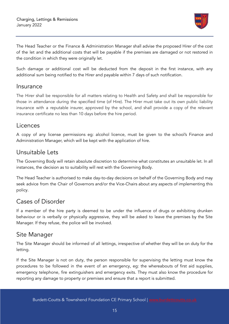

The Head Teacher or the Finance & Administration Manager shall advise the proposed Hirer of the cost of the let and the additional costs that will be payable if the premises are damaged or not restored in the condition in which they were originally let.

Such damage or additional cost will be deducted from the deposit in the first instance, with any additional sum being notified to the Hirer and payable within 7 days of such notification.

#### <span id="page-14-0"></span>Insurance

The Hirer shall be responsible for all matters relating to Health and Safety and shall be responsible for those in attendance during the specified time (of Hire). The Hirer must take out its own public liability insurance with a reputable insurer, approved by the school, and shall provide a copy of the relevant insurance certificate no less than 10 days before the hire period.

#### <span id="page-14-1"></span>**Licences**

A copy of any license permissions eg: alcohol licence, must be given to the school's Finance and Administration Manager, which will be kept with the application of hire.

#### <span id="page-14-2"></span>Unsuitable Lets

The Governing Body will retain absolute discretion to determine what constitutes an unsuitable let. In all instances, the decision as to suitability will rest with the Governing Body.

The Head Teacher is authorised to make day-to-day decisions on behalf of the Governing Body and may seek advice from the Chair of Governors and/or the Vice-Chairs about any aspects of implementing this policy.

#### <span id="page-14-3"></span>Cases of Disorder

If a member of the hire party is deemed to be under the influence of drugs or exhibiting drunken behaviour or is verbally or physically aggressive, they will be asked to leave the premises by the Site Manager. If they refuse, the police will be involved.

#### <span id="page-14-4"></span>Site Manager

The Site Manager should be informed of all lettings, irrespective of whether they will be on duty for the letting.

If the Site Manager is not on duty, the person responsible for supervising the letting must know the procedures to be followed in the event of an emergency, eg: the whereabouts of first aid supplies, emergency telephone, fire extinguishers and emergency exits. They must also know the procedure for reporting any damage to property or premises and ensure that a report is submitted.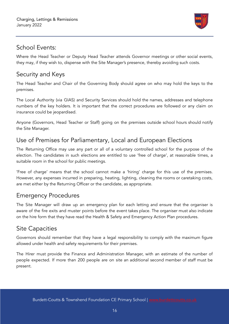

## <span id="page-15-0"></span>School Events:

Where the Head Teacher or Deputy Head Teacher attends Governor meetings or other social events, they may, if they wish to, dispense with the Site Manager's presence, thereby avoiding such costs.

## <span id="page-15-1"></span>Security and Keys

The Head Teacher and Chair of the Governing Body should agree on who may hold the keys to the premises.

The Local Authority (via GIAS) and Security Services should hold the names, addresses and telephone numbers of the key holders. It is important that the correct procedures are followed or any claim on insurance could be jeopardised.

Anyone (Governors, Head Teacher or Staff) going on the premises outside school hours should notify the Site Manager.

# <span id="page-15-2"></span>Use of Premises for Parliamentary, Local and European Elections

The Returning Office may use any part or all of a voluntary controlled school for the purpose of the election. The candidates in such elections are entitled to use 'free of charge', at reasonable times, a suitable room in the school for public meetings.

'Free of charge' means that the school cannot make a 'hiring' charge for this use of the premises. However, any expenses incurred in preparing, heating, lighting, cleaning the rooms or caretaking costs, are met either by the Returning Officer or the candidate, as appropriate.

## <span id="page-15-3"></span>Emergency Procedures

The Site Manager will draw up an emergency plan for each letting and ensure that the organiser is aware of the fire exits and muster points before the event takes place. The organiser must also indicate on the hire form that they have read the Health & Safety and Emergency Action Plan procedures.

## <span id="page-15-4"></span>Site Capacities

Governors should remember that they have a legal responsibility to comply with the maximum figure allowed under health and safety requirements for their premises.

The Hirer must provide the Finance and Administration Manager, with an estimate of the number of people expected. If more than 200 people are on site an additional second member of staff must be present.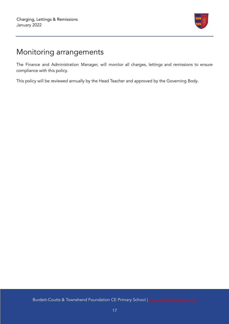

# <span id="page-16-0"></span>Monitoring arrangements

The Finance and Administration Manager, will monitor all charges, lettings and remissions to ensure compliance with this policy.

This policy will be reviewed annually by the Head Teacher and approved by the Governing Body.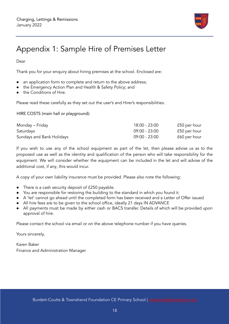

# <span id="page-17-0"></span>Appendix 1: Sample Hire of Premises Letter

Dear

Thank you for your enquiry about hiring premises at the school. Enclosed are:

- an application form to complete and return to the above address;
- the Emergency Action Plan and Health & Safety Policy; and
- the Conditions of Hire.

Please read these carefully as they set out the user's and Hirer's responsibilities.

HIRE COSTS (main hall or playground):

| Monday – Friday           | 18:00 - 23:00   | £50 per hour |
|---------------------------|-----------------|--------------|
| Saturdays                 | $09:00 - 23:00$ | £50 per hour |
| Sundays and Bank Holidays | $09:00 - 23:00$ | £60 per hour |

If you wish to use any of the school equipment as part of the let, then please advise us as to the proposed use as well as the identity and qualification of the person who will take responsibility for the equipment. We will consider whether the equipment can be included in the let and will advise of the additional cost, if any, this would incur.

A copy of your own liability insurance must be provided. Please also note the following:

- There is a cash security deposit of £250 payable.
- You are responsible for restoring the building to the standard in which you found it.
- A 'let' cannot go ahead until the completed form has been received and a Letter of Offer issued
- All hire fees are to be given to the school office, ideally 21 days IN ADVANCE
- All payments must be made by either cash or BACS transfer. Details of which will be provided upon approval of hire.

Please contact the school via email or on the above telephone number if you have queries.

Yours sincerely,

Karen Baker Finance and Administration Manager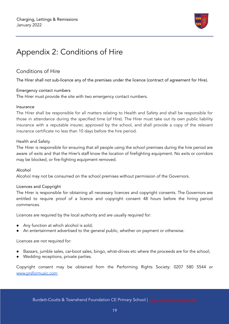

# <span id="page-18-0"></span>Appendix 2: Conditions of Hire

#### Conditions of Hire

The Hirer shall not sub-licence any of the premises under the licence (contract of agreement for Hire).

#### Emergency contact numbers

The Hirer must provide the site with two emergency contact numbers.

#### Insurance

The Hirer shall be responsible for all matters relating to Health and Safety and shall be responsible for those in attendance during the specified time (of Hire). The Hirer must take out its own public liability insurance with a reputable insurer, approved by the school, and shall provide a copy of the relevant insurance certificate no less than 10 days before the hire period.

#### Health and Safety

The Hirer is responsible for ensuring that all people using the school premises during the hire period are aware of exits and that the Hirer's staff know the location of firefighting equipment. No exits or corridors may be blocked, or fire-fighting equipment removed.

#### Alcohol

Alcohol may not be consumed on the school premises without permission of the Governors.

#### Licences and Copyright

The Hirer is responsible for obtaining all necessary licences and copyright consents. The Governors are entitled to require proof of a licence and copyright consent 48 hours before the hiring period commences.

Licences are required by the local authority and are usually required for:

- Any function at which alcohol is sold;
- An entertainment advertised to the general public, whether on payment or otherwise.

#### Licences are not required for:

- Bazaars, jumble sales, car-boot sales, bingo, whist-drives etc where the proceeds are for the school;
- Wedding receptions, private parties.

Copyright consent may be obtained from the Performing Rights Society: 0207 580 5544 or [www.prsformusic.com](http://www.prsformusic.com)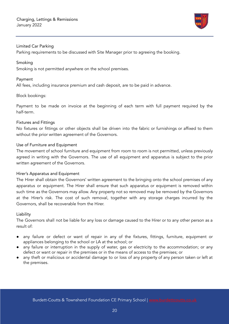

#### Limited Car Parking

Parking requirements to be discussed with Site Manager prior to agreeing the booking.

#### Smoking

Smoking is not permitted anywhere on the school premises.

#### Payment

All fees, including insurance premium and cash deposit, are to be paid in advance.

#### Block bookings:

Payment to be made on invoice at the beginning of each term with full payment required by the half-term.

#### Fixtures and Fittings

No fixtures or fittings or other objects shall be driven into the fabric or furnishings or affixed to them without the prior written agreement of the Governors.

#### Use of Furniture and Equipment

The movement of school furniture and equipment from room to room is not permitted, unless previously agreed in writing with the Governors. The use of all equipment and apparatus is subject to the prior written agreement of the Governors.

#### Hirer's Apparatus and Equipment

The Hirer shall obtain the Governors' written agreement to the bringing onto the school premises of any apparatus or equipment. The Hirer shall ensure that such apparatus or equipment is removed within such time as the Governors may allow. Any property not so removed may be removed by the Governors at the Hirer's risk. The cost of such removal, together with any storage charges incurred by the Governors, shall be recoverable from the Hirer.

#### Liability

The Governors shall not be liable for any loss or damage caused to the Hirer or to any other person as a result of:

- any failure or defect or want of repair in any of the fixtures, fittings, furniture, equipment or appliances belonging to the school or LA at the school; or
- any failure or interruption in the supply of water, gas or electricity to the accommodation; or any defect or want or repair in the premises or in the means of access to the premises; or
- any theft or malicious or accidental damage to or loss of any property of any person taken or left at the premises.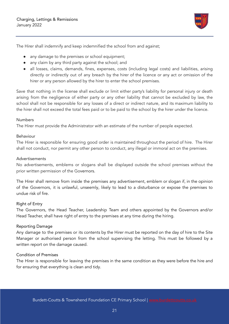

The Hirer shall indemnify and keep indemnified the school from and against;

- any damage to the premises or school equipment;
- any claim by any third party against the school; and
- all losses, claims, demands, fines, expenses, costs (including legal costs) and liabilities, arising directly or indirectly out of any breach by the hirer of the licence or any act or omission of the hirer or any person allowed by the hirer to enter the school premises.

Save that nothing in the license shall exclude or limit either party's liability for personal injury or death arising from the negligence of either party or any other liability that cannot be excluded by law, the school shall not be responsible for any losses of a direct or indirect nature, and its maximum liability to the hirer shall not exceed the total fees paid or to be paid to the school by the hirer under the licence.

#### Numbers

The Hirer must provide the Administrator with an estimate of the number of people expected.

#### Behaviour

The Hirer is responsible for ensuring good order is maintained throughout the period of hire. The Hirer shall not conduct, nor permit any other person to conduct, any illegal or immoral act on the premises.

#### Advertisements

No advertisements, emblems or slogans shall be displayed outside the school premises without the prior written permission of the Governors.

The Hirer shall remove from inside the premises any advertisement, emblem or slogan if, in the opinion of the Governors, it is unlawful, unseemly, likely to lead to a disturbance or expose the premises to undue risk of fire.

#### Right of Entry

The Governors, the Head Teacher, Leadership Team and others appointed by the Governors and/or Head Teacher, shall have right of entry to the premises at any time during the hiring.

#### Reporting Damage

Any damage to the premises or its contents by the Hirer must be reported on the day of hire to the Site Manager or authorised person from the school supervising the letting. This must be followed by a written report on the damage caused.

#### Condition of Premises

The Hirer is responsible for leaving the premises in the same condition as they were before the hire and for ensuring that everything is clean and tidy.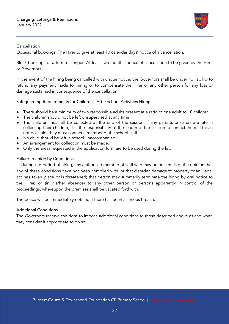

#### Cancellation

Occasional bookings: The Hirer to give at least 10 calendar days' notice of a cancellation.

Block bookings of a term or longer: At least two months' notice of cancellation to be given by the Hirer or Governors.

In the event of the hiring being cancelled with undue notice, the Governors shall be under no liability to refund any payment made for hiring or to compensate the Hirer or any other person for any loss or damage sustained in consequence of the cancellation.

Safeguarding Requirements for Children's After-school Activities Hirings

- There should be a minimum of two responsible adults present at a ratio of one adult to 10 children.
- The children should not be left unsupervised at any time.
- The children must all be collected at the end of the session. If any parents or carers are late in collecting their children, it is the responsibility of the leader of the session to contact them. If this is not possible, they must contact a member of the school staff.
- No child should be left in school unaccompanied.
- An arrangement for collection must be made.
- Only the areas requested in the application form are to be used during the let.

#### Failure to abide by Conditions

If, during the period of hiring, any authorised member of staff who may be present is of the opinion that any of these conditions have not been complied with; or that disorder, damage to property or an illegal act has taken place or is threatened; that person may summarily terminate the hiring by oral notice to the Hirer, or (in his/her absence) to any other person or persons apparently in control of the proceedings, whereupon the premises shall be vacated forthwith.

The police will be immediately notified if there has been a serious breach.

#### Additional Conditions

The Governors reserve the right to impose additional conditions to those described above as and when they consider it appropriate to do so.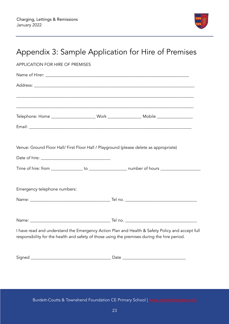

<span id="page-22-0"></span>

| Appendix 3: Sample Application for Hire of Premises                                          |                                                                                                 |  |
|----------------------------------------------------------------------------------------------|-------------------------------------------------------------------------------------------------|--|
| <b>APPLICATION FOR HIRE OF PREMISES</b>                                                      |                                                                                                 |  |
|                                                                                              |                                                                                                 |  |
|                                                                                              |                                                                                                 |  |
|                                                                                              |                                                                                                 |  |
|                                                                                              |                                                                                                 |  |
|                                                                                              |                                                                                                 |  |
| Venue: Ground Floor Hall/ First Floor Hall / Playground (please delete as appropriate)       |                                                                                                 |  |
|                                                                                              |                                                                                                 |  |
| Emergency telephone numbers:                                                                 |                                                                                                 |  |
|                                                                                              |                                                                                                 |  |
| Name:                                                                                        | Tel no.                                                                                         |  |
| responsibility for the health and safety of those using the premises during the hire period. | I have read and understand the Emergency Action Plan and Health & Safety Policy and accept full |  |
|                                                                                              |                                                                                                 |  |

Burdett-Coutts & Townshend Foundation CE Primary School | [www.burdettcoutts.co.uk](http://burdettcoutts.co.uk)